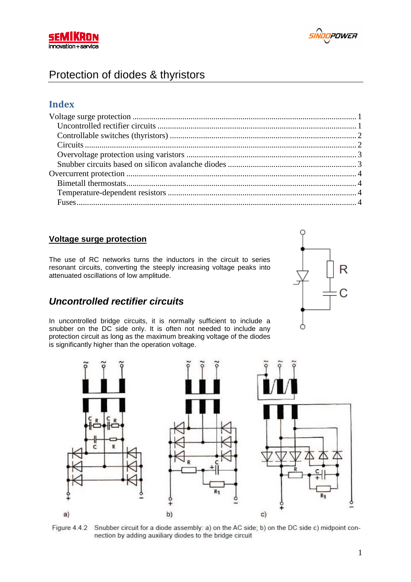



# Protection of diodes & thyristors

### **Index**

### **Voltage surge protection**

The use of RC networks turns the inductors in the circuit to series resonant circuits, converting the steeply increasing voltage peaks into attenuated oscillations of low amplitude.

## **Uncontrolled rectifier circuits**

In uncontrolled bridge circuits, it is normally sufficient to include a snubber on the DC side only. It is often not needed to include any protection circuit as long as the maximum breaking voltage of the diodes is significantly higher than the operation voltage.





Figure 4.4.2 Snubber circuit for a diode assembly: a) on the AC side; b) on the DC side c) midpoint connection by adding auxiliary diodes to the bridge circuit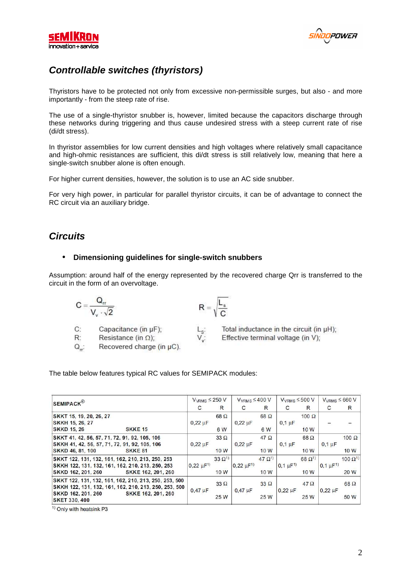



# **Controllable switches (thyristors)**

Thyristors have to be protected not only from excessive non-permissible surges, but also - and more importantly - from the steep rate of rise.

The use of a single-thyristor snubber is, however, limited because the capacitors discharge through these networks during triggering and thus cause undesired stress with a steep current rate of rise (di/dt stress).

In thyristor assemblies for low current densities and high voltages where relatively small capacitance and high-ohmic resistances are sufficient, this di/dt stress is still relatively low, meaning that here a single-switch snubber alone is often enough.

For higher current densities, however, the solution is to use an AC side snubber.

For very high power, in particular for parallel thyristor circuits, it can be of advantage to connect the RC circuit via an auxiliary bridge.

## **Circuits**

#### • **Dimensioning guidelines for single-switch snubbers**

Assumption: around half of the energy represented by the recovered charge Qrr is transferred to the circuit in the form of an overvoltage.

 $\frac{L_{S}^{+}}{V_{w}^{+}}$ 

 $R = \sqrt{\frac{L_s}{C}}$ 

$$
C=\frac{Q_{rr}}{V_v\cdot\sqrt{2}}
$$

 $C:$ Capacitance (in µF);  $R^2$ 

Resistance (in  $\Omega$ );

 $Q_{rr}$ Recovered charge (in µC). Total inductance in the circuit (in µH); Effective terminal voltage (in V);

The table below features typical RC values for SEMIPACK modules:

| <b>SEMIPACK</b> <sup>®</sup>                                                                                                                     | $V_{VRMS} \leq 250 V$ |                         | $V_{VRMS} \leq 400 V$ |                         | $V_{VRMS} \leq 500 V$ |                         | $V_{VRMS} \leq 660 V$ |                          |
|--------------------------------------------------------------------------------------------------------------------------------------------------|-----------------------|-------------------------|-----------------------|-------------------------|-----------------------|-------------------------|-----------------------|--------------------------|
|                                                                                                                                                  | C                     | R                       | C                     | R                       | C                     | R                       | C                     | $\mathsf{R}$             |
| SKKT 15, 19, 20, 26, 27<br>SKKH 15, 26, 27                                                                                                       | $0,22 \mu F$          | $68\Omega$              | $0,22 \mu F$          | $68\Omega$              | $0.1 \mu F$           | $100 \Omega$            |                       |                          |
| <b>SKKE 15</b><br><b>SKKD 15, 26</b>                                                                                                             |                       | 6 W                     |                       | 6 W                     |                       | 10W                     |                       |                          |
| SKKT 41, 42, 56, 57, 71, 72, 91, 92, 105, 106<br>SKKH 41, 42, 56, 57, 71, 72, 91, 92, 105, 106                                                   | $0,22 \mu F$          | $33 \Omega$             | $0,22 \mu F$          | $47\Omega$              | $0.1 \mu F$           | $68\Omega$              | $0.1 \mu F$           | $100 \Omega$             |
| SKKD 46, 81, 100<br>SKKE <sub>81</sub>                                                                                                           |                       | 10W                     |                       | 10W                     |                       | 10W                     |                       | 10 W                     |
| SKKT 122, 131, 132, 161, 162, 210, 213, 250, 253<br>SKKH 122, 131, 132, 161, 162, 210, 213, 250, 253<br>SKKD 162, 201, 260<br>SKKE 162, 201, 260 | $0,22 \mu F^{1}$      | $33 \Omega^{1}$<br>10 W | $0,22 \mu F^{1}$      | $47 \Omega^{1}$<br>10 W | $0,1 \mu F^{1}$       | $68 \Omega^{1}$<br>10 W | $0,1 \mu F^{1}$       | $100 \Omega^{1}$<br>20 W |
| SKKT 122, 131, 132, 161, 162, 210, 213, 250, 253, 500<br>SKKH 122, 131, 132, 161, 162, 210, 213, 250, 253, 500                                   | $0.47 \mu F$          | $33\Omega$              | $0.47 \mu F$          | $33\Omega$              | $0.22 \mu F$          | $47\Omega$              | $0.22 \mu F$          | $68\Omega$               |
| SKKE 162, 201, 260<br>SKKD 162, 201, 260<br><b>SKET 330, 400</b>                                                                                 |                       | 25 W                    |                       | 25 W                    |                       | 25 W                    |                       | 50 W                     |

<sup>&</sup>lt;sup>1)</sup> Only with heatsink P3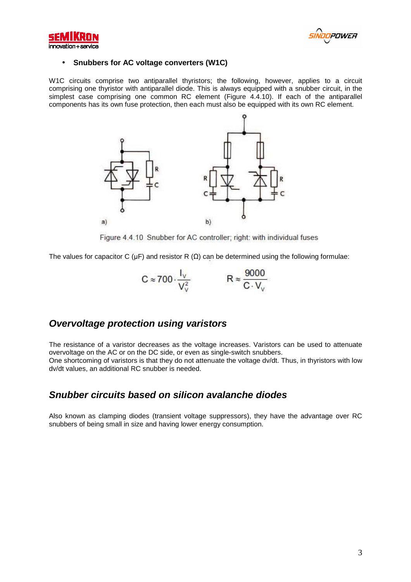



#### • **Snubbers for AC voltage converters (W1C)**

W1C circuits comprise two antiparallel thyristors; the following, however, applies to a circuit comprising one thyristor with antiparallel diode. This is always equipped with a snubber circuit, in the simplest case comprising one common RC element (Figure 4.4.10). If each of the antiparallel components has its own fuse protection, then each must also be equipped with its own RC element.



Figure 4.4.10 Snubber for AC controller; right: with individual fuses

The values for capacitor C ( $\mu$ F) and resistor R ( $\Omega$ ) can be determined using the following formulae:

$$
C \approx 700 \cdot \frac{I_v}{V_v^2} \qquad R \approx \frac{9000}{C \cdot V_v}
$$

## **Overvoltage protection using varistors**

The resistance of a varistor decreases as the voltage increases. Varistors can be used to attenuate overvoltage on the AC or on the DC side, or even as single-switch snubbers. One shortcoming of varistors is that they do not attenuate the voltage dv/dt. Thus, in thyristors with low dv/dt values, an additional RC snubber is needed.

## **Snubber circuits based on siIicon avalanche diodes**

Also known as clamping diodes (transient voltage suppressors), they have the advantage over RC snubbers of being small in size and having lower energy consumption.